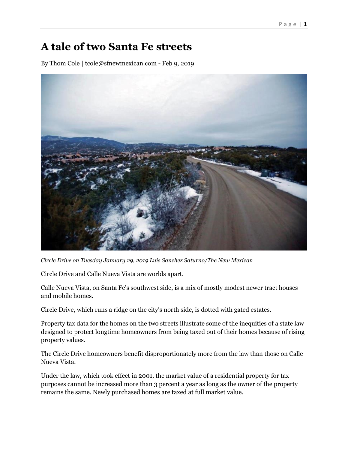## **A tale of two Santa Fe streets**

By Thom Cole | tcole@sfnewmexican.com - Feb 9, 2019



*Circle Drive on Tuesday January 29, 2019 Luis Sanchez Saturno/The New Mexican*

Circle Drive and Calle Nueva Vista are worlds apart.

Calle Nueva Vista, on Santa Fe's southwest side, is a mix of mostly modest newer tract houses and mobile homes.

Circle Drive, which runs a ridge on the city's north side, is dotted with gated estates.

Property tax data for the homes on the two streets illustrate some of the inequities of a state law designed to protect longtime homeowners from being taxed out of their homes because of rising property values.

The Circle Drive homeowners benefit disproportionately more from the law than those on Calle Nueva Vista.

Under the law, which took effect in 2001, the market value of a residential property for tax purposes cannot be increased more than 3 percent a year as long as the owner of the property remains the same. Newly purchased homes are taxed at full market value.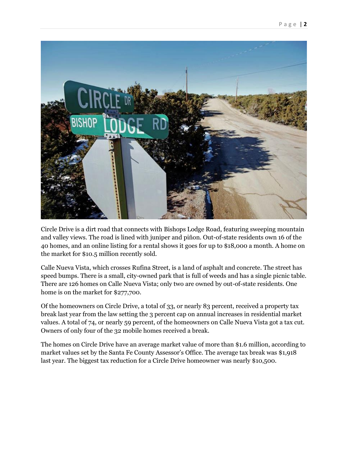

Circle Drive is a dirt road that connects with Bishops Lodge Road, featuring sweeping mountain and valley views. The road is lined with juniper and piñon. Out-of-state residents own 16 of the 40 homes, and an online listing for a rental shows it goes for up to \$18,000 a month. A home on the market for \$10.5 million recently sold.

Calle Nueva Vista, which crosses Rufina Street, is a land of asphalt and concrete. The street has speed bumps. There is a small, city-owned park that is full of weeds and has a single picnic table. There are 126 homes on Calle Nueva Vista; only two are owned by out-of-state residents. One home is on the market for \$277,700.

Of the homeowners on Circle Drive, a total of 33, or nearly 83 percent, received a property tax break last year from the law setting the 3 percent cap on annual increases in residential market values. A total of 74, or nearly 59 percent, of the homeowners on Calle Nueva Vista got a tax cut. Owners of only four of the 32 mobile homes received a break.

The homes on Circle Drive have an average market value of more than \$1.6 million, according to market values set by the Santa Fe County Assessor's Office. The average tax break was \$1,918 last year. The biggest tax reduction for a Circle Drive homeowner was nearly \$10,500.